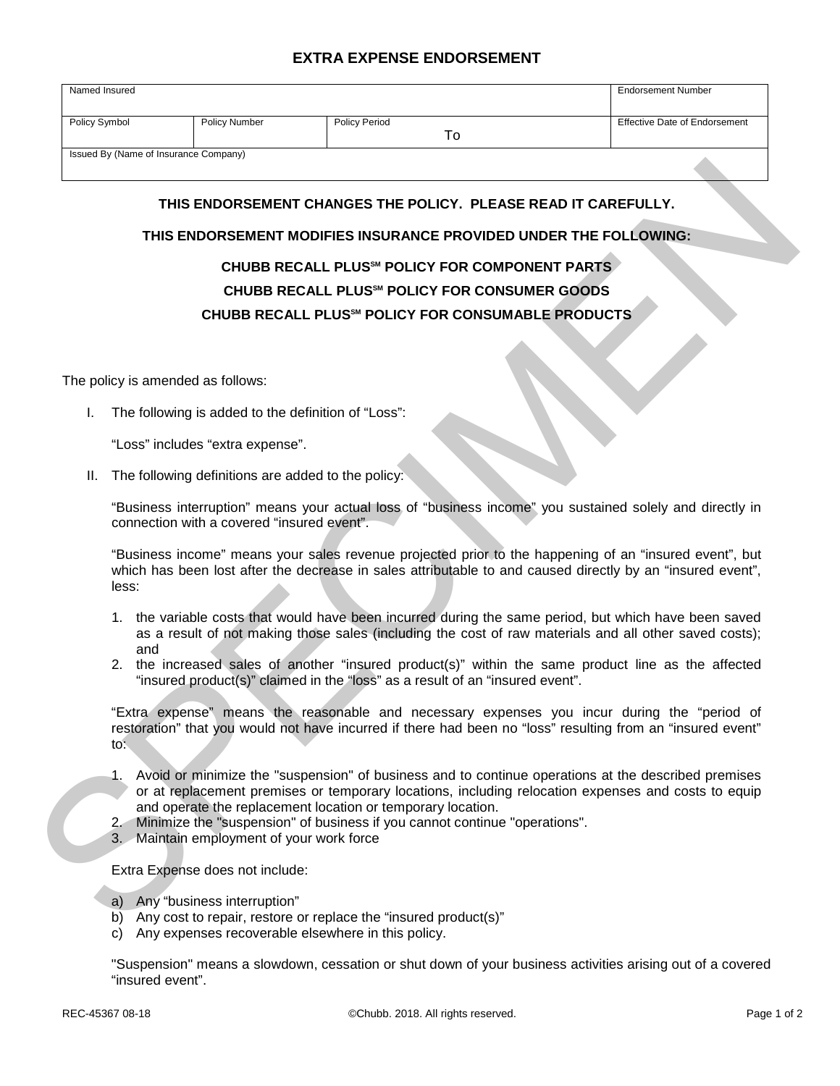## **EXTRA EXPENSE ENDORSEMENT**

| Named Insured                         |                      |                      |    | <b>Endorsement Number</b>     |
|---------------------------------------|----------------------|----------------------|----|-------------------------------|
|                                       |                      |                      |    |                               |
| Policy Symbol                         | <b>Policy Number</b> | <b>Policy Period</b> |    | Effective Date of Endorsement |
|                                       |                      |                      | ١o |                               |
| Issued By (Name of Insurance Company) |                      |                      |    |                               |
|                                       |                      |                      |    |                               |

## **THIS ENDORSEMENT CHANGES THE POLICY. PLEASE READ IT CAREFULLY.**

## **THIS ENDORSEMENT MODIFIES INSURANCE PROVIDED UNDER THE FOLLOWING:**

## **CHUBB RECALL PLUSSM POLICY FOR COMPONENT PARTS CHUBB RECALL PLUSSM POLICY FOR CONSUMER GOODS CHUBB RECALL PLUSSM POLICY FOR CONSUMABLE PRODUCTS**

The policy is amended as follows:

I. The following is added to the definition of "Loss":

"Loss" includes "extra expense".

II. The following definitions are added to the policy:

"Business interruption" means your actual loss of "business income" you sustained solely and directly in connection with a covered "insured event".

"Business income" means your sales revenue projected prior to the happening of an "insured event", but which has been lost after the decrease in sales attributable to and caused directly by an "insured event", less:

- 1. the variable costs that would have been incurred during the same period, but which have been saved as a result of not making those sales (including the cost of raw materials and all other saved costs); and
- 2. the increased sales of another "insured product(s)" within the same product line as the affected "insured product(s)" claimed in the "loss" as a result of an "insured event".

THIS ENDORSEMENT CHANGES THE POLICY. PLEASE READ IT CAREFULLY.<br>
THIS ENDORSEMENT MODIFIES INSURANCE PROVIDED UNDER THE FOLLOWING:<br>
CHUBB RECALL PLUS" POLICY FOR COMPONENT PARTS<br>
CHUBB RECALL PLUS" POLICY FOR CONSUMABLE PRO "Extra expense" means the reasonable and necessary expenses you incur during the "period of restoration" that you would not have incurred if there had been no "loss" resulting from an "insured event" to:

- 1. Avoid or minimize the "suspension" of business and to continue operations at the described premises or at replacement premises or temporary locations, including relocation expenses and costs to equip and operate the replacement location or temporary location.
- 2. Minimize the "suspension" of business if you cannot continue "operations".
- 3. Maintain employment of your work force

Extra Expense does not include:

- a) Any "business interruption"
- b) Any cost to repair, restore or replace the "insured product(s)"
- c) Any expenses recoverable elsewhere in this policy.

"Suspension" means a slowdown, cessation or shut down of your business activities arising out of a covered "insured event".